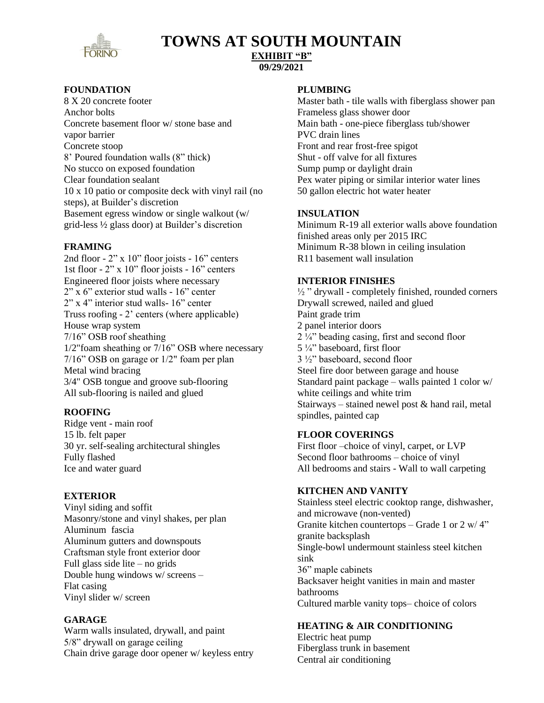

## **TOWNS AT SOUTH MOUNTAIN**

#### **EXHIBIT "B" 09/29/2021**

## **FOUNDATION**

8 X 20 concrete footer Anchor bolts Concrete basement floor w/ stone base and vapor barrier Concrete stoop 8' Poured foundation walls (8" thick) No stucco on exposed foundation Clear foundation sealant 10 x 10 patio or composite deck with vinyl rail (no steps), at Builder's discretion Basement egress window or single walkout (w/ grid-less ½ glass door) at Builder's discretion

## **FRAMING**

2nd floor - 2" x 10" floor joists - 16" centers 1st floor - 2" x 10" floor joists - 16" centers Engineered floor joists where necessary 2" x 6" exterior stud walls - 16" center 2" x 4" interior stud walls- 16" center Truss roofing - 2' centers (where applicable) House wrap system 7/16" OSB roof sheathing 1/2"foam sheathing or 7/16" OSB where necessary 7/16" OSB on garage or 1/2" foam per plan Metal wind bracing 3/4" OSB tongue and groove sub-flooring All sub-flooring is nailed and glued

## **ROOFING**

Ridge vent - main roof 15 lb. felt paper 30 yr. self-sealing architectural shingles Fully flashed Ice and water guard

## **EXTERIOR**

Vinyl siding and soffit Masonry/stone and vinyl shakes, per plan Aluminum fascia Aluminum gutters and downspouts Craftsman style front exterior door Full glass side lite – no grids Double hung windows w/ screens – Flat casing Vinyl slider w/ screen

## **GARAGE**

Warm walls insulated, drywall, and paint 5/8" drywall on garage ceiling Chain drive garage door opener w/ keyless entry

#### **PLUMBING**

Master bath - tile walls with fiberglass shower pan Frameless glass shower door Main bath - one-piece fiberglass tub/shower PVC drain lines Front and rear frost-free spigot Shut - off valve for all fixtures Sump pump or daylight drain Pex water piping or similar interior water lines 50 gallon electric hot water heater

## **INSULATION**

Minimum R-19 all exterior walls above foundation finished areas only per 2015 IRC Minimum R-38 blown in ceiling insulation R11 basement wall insulation

## **INTERIOR FINISHES**

 $\frac{1}{2}$  " drywall - completely finished, rounded corners Drywall screwed, nailed and glued Paint grade trim 2 panel interior doors  $2\frac{1}{4}$ " beading casing, first and second floor 5 ¼" baseboard, first floor 3 ½" baseboard, second floor Steel fire door between garage and house Standard paint package – walls painted 1 color w/ white ceilings and white trim Stairways – stained newel post & hand rail, metal spindles, painted cap

## **FLOOR COVERINGS**

First floor –choice of vinyl, carpet, or LVP Second floor bathrooms – choice of vinyl All bedrooms and stairs - Wall to wall carpeting

## **KITCHEN AND VANITY**

Stainless steel electric cooktop range, dishwasher, and microwave (non-vented) Granite kitchen countertops – Grade 1 or 2 w/ 4" granite backsplash Single-bowl undermount stainless steel kitchen sink 36" maple cabinets Backsaver height vanities in main and master bathrooms Cultured marble vanity tops– choice of colors

## **HEATING & AIR CONDITIONING**

Electric heat pump Fiberglass trunk in basement Central air conditioning